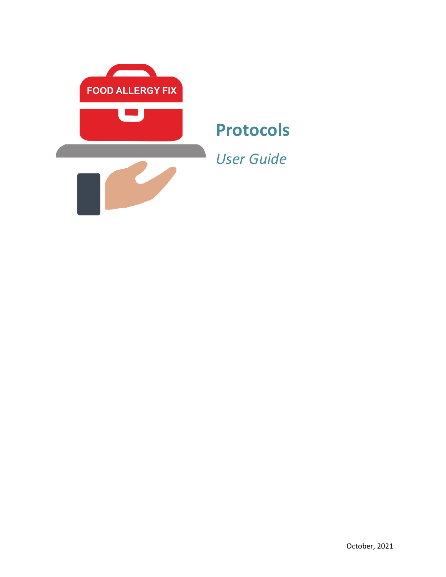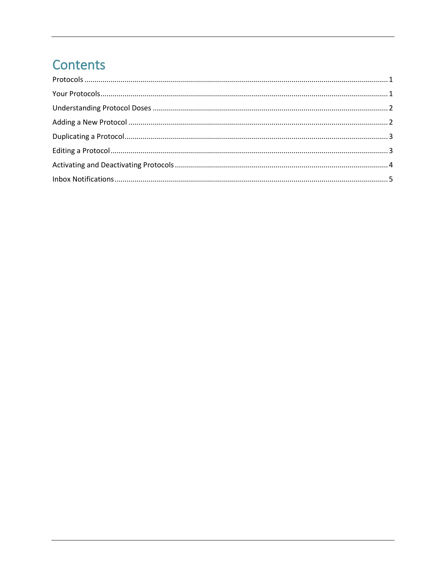# Contents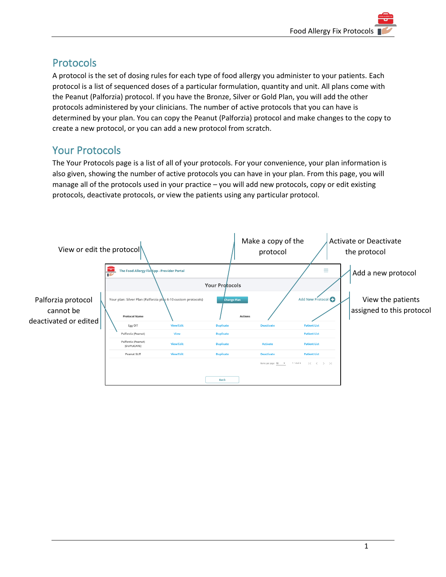## <span id="page-2-0"></span>Protocols

A protocol is the set of dosing rules for each type of food allergy you administer to your patients. Each protocol is a list of sequenced doses of a particular formulation, quantity and unit. All plans come with the Peanut (Palforzia) protocol. If you have the Bronze, Silver or Gold Plan, you will add the other protocols administered by your clinicians. The number of active protocols that you can have is determined by your plan. You can copy the Peanut (Palforzia) protocol and make changes to the copy to create a new protocol, or you can add a new protocol from scratch.

## <span id="page-2-1"></span>Your Protocols

The Your Protocols page is a list of all of your protocols. For your convenience, your plan information is also given, showing the number of active protocols you can have in your plan. From this page, you will manage all of the protocols used in your practice – you will add new protocols, copy or edit existing protocols, deactivate protocols, or view the patients using any particular protocol.

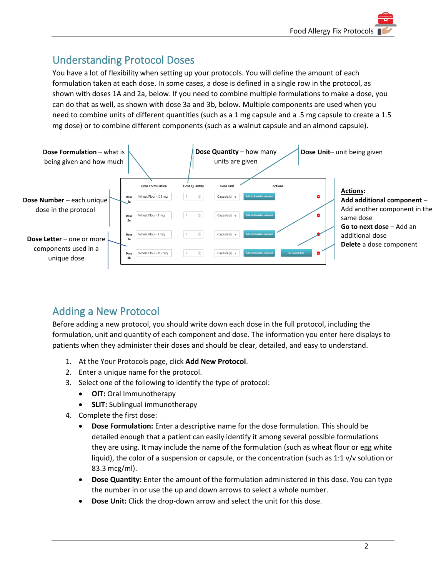## <span id="page-3-0"></span>Understanding Protocol Doses

You have a lot of flexibility when setting up your protocols. You will define the amount of each formulation taken at each dose. In some cases, a dose is defined in a single row in the protocol, as shown with doses 1A and 2a, below. If you need to combine multiple formulations to make a dose, you can do that as well, as shown with dose 3a and 3b, below. Multiple components are used when you need to combine units of different quantities (such as a 1 mg capsule and a .5 mg capsule to create a 1.5 mg dose) or to combine different components (such as a walnut capsule and an almond capsule).



## <span id="page-3-1"></span>Adding a New Protocol

Before adding a new protocol, you should write down each dose in the full protocol, including the formulation, unit and quantity of each component and dose. The information you enter here displays to patients when they administer their doses and should be clear, detailed, and easy to understand.

- 1. At the Your Protocols page, click **Add New Protocol**.
- 2. Enter a unique name for the protocol.
- 3. Select one of the following to identify the type of protocol:
	- **OIT:** Oral Immunotherapy
	- **SLIT:** Sublingual immunotherapy
- 4. Complete the first dose:
	- **Dose Formulation:** Enter a descriptive name for the dose formulation. This should be detailed enough that a patient can easily identify it among several possible formulations they are using. It may include the name of the formulation (such as wheat flour or egg white liquid), the color of a suspension or capsule, or the concentration (such as 1:1 v/v solution or 83.3 mcg/ml).
	- **Dose Quantity:** Enter the amount of the formulation administered in this dose. You can type the number in or use the up and down arrows to select a whole number.
	- **Dose Unit:** Click the drop-down arrow and select the unit for this dose.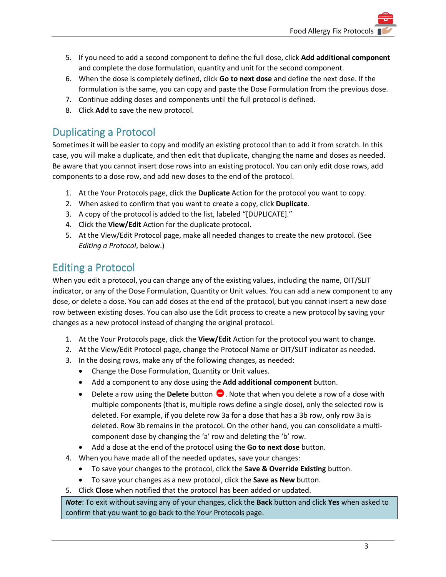- 5. If you need to add a second component to define the full dose, click **Add additional component** and complete the dose formulation, quantity and unit for the second component.
- 6. When the dose is completely defined, click **Go to next dose** and define the next dose. If the formulation is the same, you can copy and paste the Dose Formulation from the previous dose.
- 7. Continue adding doses and components until the full protocol is defined.
- 8. Click **Add** to save the new protocol.

#### <span id="page-4-0"></span>Duplicating a Protocol

Sometimes it will be easier to copy and modify an existing protocol than to add it from scratch. In this case, you will make a duplicate, and then edit that duplicate, changing the name and doses as needed. Be aware that you cannot insert dose rows into an existing protocol. You can only edit dose rows, add components to a dose row, and add new doses to the end of the protocol.

- 1. At the Your Protocols page, click the **Duplicate** Action for the protocol you want to copy.
- 2. When asked to confirm that you want to create a copy, click **Duplicate**.
- 3. A copy of the protocol is added to the list, labeled "[DUPLICATE]."
- 4. Click the **View/Edit** Action for the duplicate protocol.
- 5. At the View/Edit Protocol page, make all needed changes to create the new protocol. (See *Editing a Protocol*, below.)

#### <span id="page-4-1"></span>Editing a Protocol

When you edit a protocol, you can change any of the existing values, including the name, OIT/SLIT indicator, or any of the Dose Formulation, Quantity or Unit values. You can add a new component to any dose, or delete a dose. You can add doses at the end of the protocol, but you cannot insert a new dose row between existing doses. You can also use the Edit process to create a new protocol by saving your changes as a new protocol instead of changing the original protocol.

- 1. At the Your Protocols page, click the **View/Edit** Action for the protocol you want to change.
- 2. At the View/Edit Protocol page, change the Protocol Name or OIT/SLIT indicator as needed.
- 3. In the dosing rows, make any of the following changes, as needed:
	- Change the Dose Formulation, Quantity or Unit values.
	- Add a component to any dose using the **Add additional component** button.
	- Delete a row using the **Delete** button  $\bullet$ . Note that when you delete a row of a dose with multiple components (that is, multiple rows define a single dose), only the selected row is deleted. For example, if you delete row 3a for a dose that has a 3b row, only row 3a is deleted. Row 3b remains in the protocol. On the other hand, you can consolidate a multicomponent dose by changing the 'a' row and deleting the 'b' row.
	- Add a dose at the end of the protocol using the **Go to next dose** button.
- 4. When you have made all of the needed updates, save your changes:
	- To save your changes to the protocol, click the **Save & Override Existing** button.
	- To save your changes as a new protocol, click the **Save as New** button.
- 5. Click **Close** when notified that the protocol has been added or updated.

*Note*: To exit without saving any of your changes, click the **Back** button and click **Yes** when asked to confirm that you want to go back to the Your Protocols page.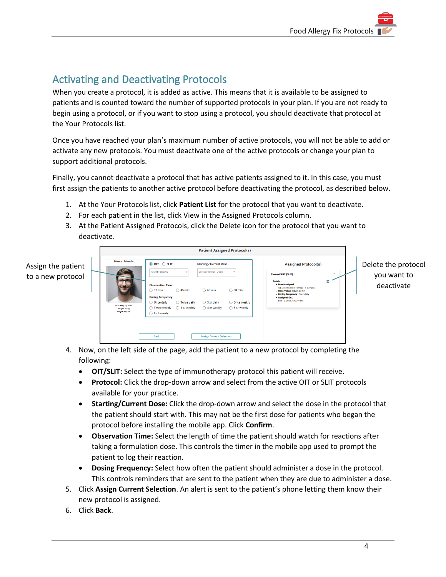# <span id="page-5-0"></span>Activating and Deactivating Protocols

When you create a protocol, it is added as active. This means that it is available to be assigned to patients and is counted toward the number of supported protocols in your plan. If you are not ready to begin using a protocol, or if you want to stop using a protocol, you should deactivate that protocol at the Your Protocols list.

Once you have reached your plan's maximum number of active protocols, you will not be able to add or activate any new protocols. You must deactivate one of the active protocols or change your plan to support additional protocols.

Finally, you cannot deactivate a protocol that has active patients assigned to it. In this case, you must first assign the patients to another active protocol before deactivating the protocol, as described below.

- 1. At the Your Protocols list, click **Patient List** for the protocol that you want to deactivate.
- 2. For each patient in the list, click View in the Assigned Protocols column.
- 3. At the Patient Assigned Protocols, click the Delete icon for the protocol that you want to deactivate.

|                                         | <b>Patient Assigned Protocol(s)</b>                                         |                                                                                                                                                                                              |                                                 |                                                                                                                                                                          |                                                     |                                                                                                                                                                                                                                                 |                              |                                                  |
|-----------------------------------------|-----------------------------------------------------------------------------|----------------------------------------------------------------------------------------------------------------------------------------------------------------------------------------------|-------------------------------------------------|--------------------------------------------------------------------------------------------------------------------------------------------------------------------------|-----------------------------------------------------|-------------------------------------------------------------------------------------------------------------------------------------------------------------------------------------------------------------------------------------------------|------------------------------|--------------------------------------------------|
| Assign the patient<br>to a new protocol | <b>Marco Mantin</b><br>DOB: May 27, 2002<br>Weight: 72 kg<br>Height: 183 cm | ◎ OIT ○ SLIT<br><b>Select Protocol</b><br><b>Observation Time</b><br>$\bigcirc$ 30 min<br><b>Dosing Frequency</b><br>O Once daily<br>◯ Twice weekly<br>$\bigcirc$ 6 x/ weekly<br><b>Back</b> | $\bigcirc$ 45 min<br>Twice daily<br>3 x/ weekly | <b>Starting / Current Dose</b><br><b>Select Protocol Dose</b><br>$\bigcirc$ 60 min<br>$\bigcirc$ 3 x/ daily<br>$\bigcirc$ 4 x/ weekly<br><b>Assign Current Selection</b> | $\bigcirc$ 90 min<br>O Once weekly<br>◯ 5 x/ weekly | <b>Assigned Protocol(s)</b><br><b>Treenut SLIT (SLIT)</b><br>Details:<br>• Dose Assigned:<br>1a: Green Solution (mcg) - 1 pump(s)<br>• Observation Time: 45 min<br>. Dosing Frequency: Once daily<br>· Assigned On:<br>Sep 19, 2021, 4:43:16 PM | $\widehat{\phantom{a}}$<br>齒 | Delete the protocol<br>you want to<br>deactivate |

- 4. Now, on the left side of the page, add the patient to a new protocol by completing the following:
	- **OIT/SLIT:** Select the type of immunotherapy protocol this patient will receive.
	- **Protocol:** Click the drop-down arrow and select from the active OIT or SLIT protocols available for your practice.
	- **Starting/Current Dose:** Click the drop-down arrow and select the dose in the protocol that the patient should start with. This may not be the first dose for patients who began the protocol before installing the mobile app. Click **Confirm**.
	- **Observation Time:** Select the length of time the patient should watch for reactions after taking a formulation dose. This controls the timer in the mobile app used to prompt the patient to log their reaction.
	- **Dosing Frequency:** Select how often the patient should administer a dose in the protocol. This controls reminders that are sent to the patient when they are due to administer a dose.
- 5. Click **Assign Current Selection**. An alert is sent to the patient's phone letting them know their new protocol is assigned.
- 6. Click **Back**.